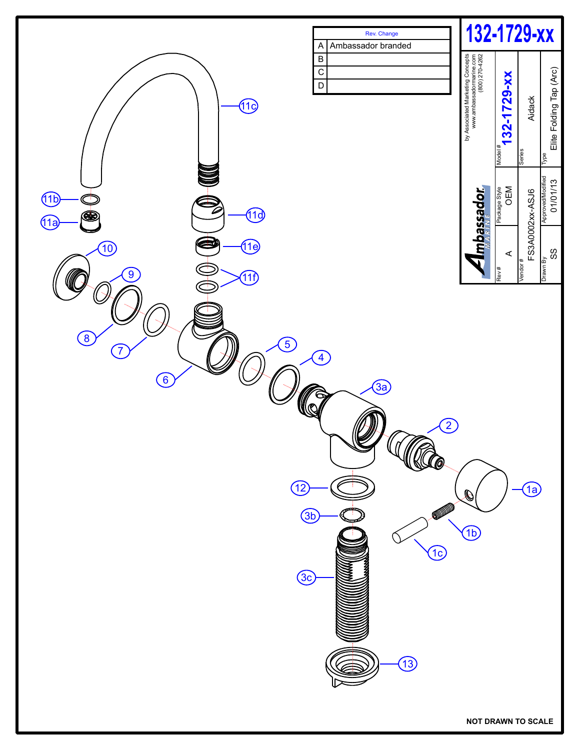